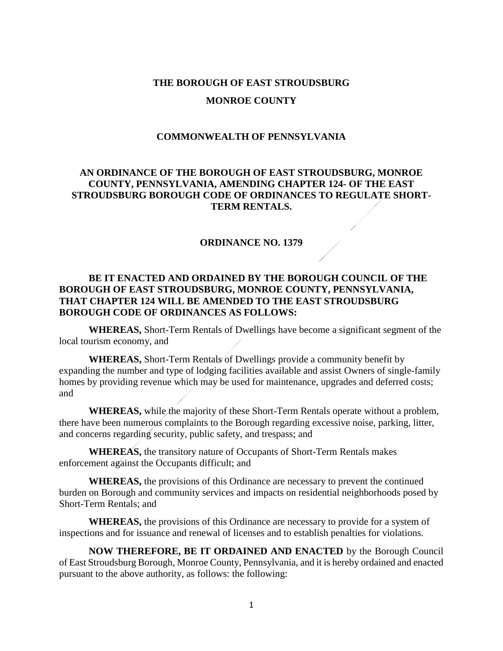# **THE BOROUGH OF EAST STROUDSBURG MONROE COUNTY**

# **COMMONWEALTH OF PENNSYLVANIA**

# **AN ORDINANCE OF THE BOROUGH OF EAST STROUDSBURG, MONROE COUNTY, PENNSYLVANIA, AMENDING CHAPTER 124- OF THE EAST STROUDSBURG BOROUGH CODE OF ORDINANCES TO REGULATE SHORT-TERM RENTALS.**

# **ORDINANCE NO. 1379**

# **BE IT ENACTED AND ORDAINED BY THE BOROUGH COUNCIL OF THE BOROUGH OF EAST STROUDSBURG, MONROE COUNTY, PENNSYLVANIA, THAT CHAPTER 124 WILL BE AMENDED TO THE EAST STROUDSBURG BOROUGH CODE OF ORDINANCES AS FOLLOWS:**

**WHEREAS,** Short-Term Rentals of Dwellings have become a significant segment of the local tourism economy, and

**WHEREAS,** Short-Term Rentals of Dwellings provide a community benefit by expanding the number and type of lodging facilities available and assist Owners of single-family homes by providing revenue which may be used for maintenance, upgrades and deferred costs; and

**WHEREAS,** while the majority of these Short-Term Rentals operate without a problem, there have been numerous complaints to the Borough regarding excessive noise, parking, litter, and concerns regarding security, public safety, and trespass; and

**WHEREAS,** the transitory nature of Occupants of Short-Term Rentals makes enforcement against the Occupants difficult; and

**WHEREAS,** the provisions of this Ordinance are necessary to prevent the continued burden on Borough and community services and impacts on residential neighborhoods posed by Short-Term Rentals; and

**WHEREAS,** the provisions of this Ordinance are necessary to provide for a system of inspections and for issuance and renewal of licenses and to establish penalties for violations.

**NOW THEREFORE, BE IT ORDAINED AND ENACTED** by the Borough Council of East Stroudsburg Borough, Monroe County, Pennsylvania, and it is hereby ordained and enacted pursuant to the above authority, as follows: the following: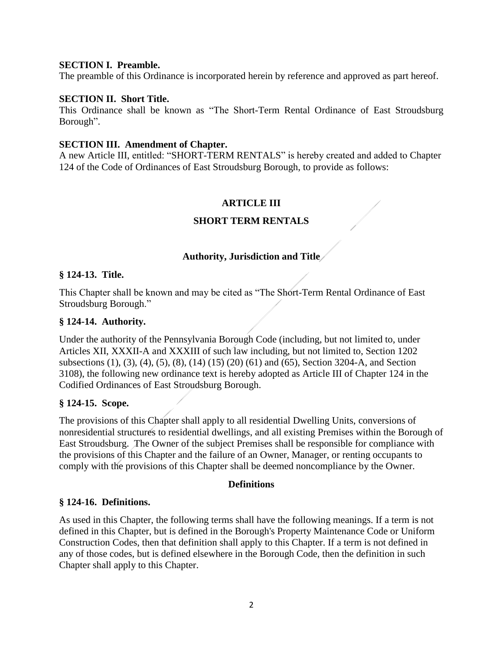# **SECTION I. Preamble.**

The preamble of this Ordinance is incorporated herein by reference and approved as part hereof.

### **SECTION II. Short Title.**

This Ordinance shall be known as "The Short-Term Rental Ordinance of East Stroudsburg Borough".

### **SECTION III. Amendment of Chapter.**

A new Article III, entitled: "SHORT-TERM RENTALS" is hereby created and added to Chapter 124 of the Code of Ordinances of East Stroudsburg Borough, to provide as follows:

# **ARTICLE III**

# **SHORT TERM RENTALS**

### **Authority, Jurisdiction and Title**

#### **§ 124-13. Title.**

This Chapter shall be known and may be cited as "The Short-Term Rental Ordinance of East Stroudsburg Borough."

#### **§ 124-14. Authority.**

Under the authority of the Pennsylvania Borough Code (including, but not limited to, under Articles XII, XXXII-A and XXXIII of such law including, but not limited to, Section 1202 subsections (1), (3), (4), (5), (8), (14) (15) (20) (61) and (65), Section 3204-A, and Section 3108), the following new ordinance text is hereby adopted as Article III of Chapter 124 in the Codified Ordinances of East Stroudsburg Borough.

#### **§ 124-15. Scope.**

The provisions of this Chapter shall apply to all residential Dwelling Units, conversions of nonresidential structures to residential dwellings, and all existing Premises within the Borough of East Stroudsburg. The Owner of the subject Premises shall be responsible for compliance with the provisions of this Chapter and the failure of an Owner, Manager, or renting occupants to comply with the provisions of this Chapter shall be deemed noncompliance by the Owner.

#### **Definitions**

# **§ 124-16. Definitions.**

As used in this Chapter, the following terms shall have the following meanings. If a term is not defined in this Chapter, but is defined in the Borough's Property Maintenance Code or Uniform Construction Codes, then that definition shall apply to this Chapter. If a term is not defined in any of those codes, but is defined elsewhere in the Borough Code, then the definition in such Chapter shall apply to this Chapter.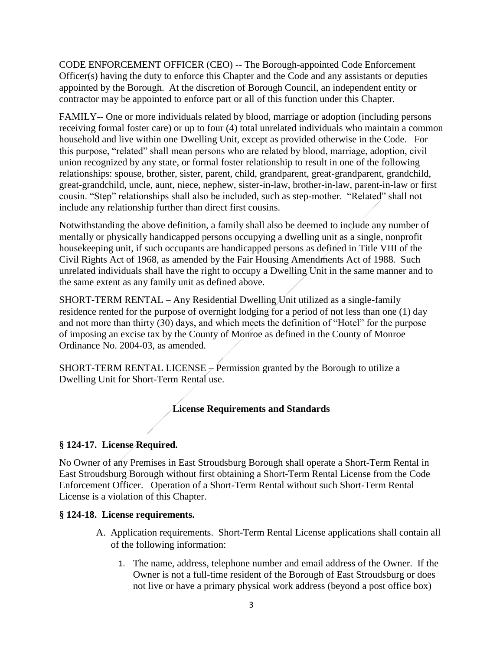CODE ENFORCEMENT OFFICER (CEO) -- The Borough-appointed Code Enforcement Officer(s) having the duty to enforce this Chapter and the Code and any assistants or deputies appointed by the Borough. At the discretion of Borough Council, an independent entity or contractor may be appointed to enforce part or all of this function under this Chapter.

FAMILY-- One or more individuals related by blood, marriage or adoption (including persons receiving formal foster care) or up to four (4) total unrelated individuals who maintain a common household and live within one Dwelling Unit, except as provided otherwise in the Code. For this purpose, "related" shall mean persons who are related by blood, marriage, adoption, civil union recognized by any state, or formal foster relationship to result in one of the following relationships: spouse, brother, sister, parent, child, grandparent, great-grandparent, grandchild, great-grandchild, uncle, aunt, niece, nephew, sister-in-law, brother-in-law, parent-in-law or first cousin. "Step" relationships shall also be included, such as step-mother. "Related" shall not include any relationship further than direct first cousins.

Notwithstanding the above definition, a family shall also be deemed to include any number of mentally or physically handicapped persons occupying a dwelling unit as a single, nonprofit housekeeping unit, if such occupants are handicapped persons as defined in Title VIII of the Civil Rights Act of 1968, as amended by the Fair Housing Amendments Act of 1988. Such unrelated individuals shall have the right to occupy a Dwelling Unit in the same manner and to the same extent as any family unit as defined above.

SHORT-TERM RENTAL – Any Residential Dwelling Unit utilized as a single-family residence rented for the purpose of overnight lodging for a period of not less than one (1) day and not more than thirty (30) days, and which meets the definition of "Hotel" for the purpose of imposing an excise tax by the County of Monroe as defined in the County of Monroe Ordinance No. 2004-03, as amended.

SHORT-TERM RENTAL LICENSE – Permission granted by the Borough to utilize a Dwelling Unit for Short-Term Rental use.

# **License Requirements and Standards**

# **§ 124-17. License Required.**

No Owner of any Premises in East Stroudsburg Borough shall operate a Short-Term Rental in East Stroudsburg Borough without first obtaining a Short-Term Rental License from the Code Enforcement Officer. Operation of a Short-Term Rental without such Short-Term Rental License is a violation of this Chapter.

# **§ 124-18. License requirements.**

- A. Application requirements.Short-Term Rental License applications shall contain all of the following information:
	- 1. The name, address, telephone number and email address of the Owner. If the Owner is not a full-time resident of the Borough of East Stroudsburg or does not live or have a primary physical work address (beyond a post office box)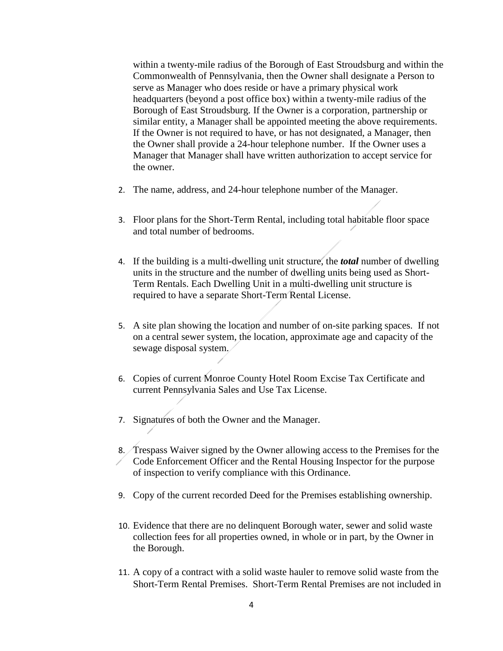within a twenty-mile radius of the Borough of East Stroudsburg and within the Commonwealth of Pennsylvania, then the Owner shall designate a Person to serve as Manager who does reside or have a primary physical work headquarters (beyond a post office box) within a twenty-mile radius of the Borough of East Stroudsburg. If the Owner is a corporation, partnership or similar entity, a Manager shall be appointed meeting the above requirements. If the Owner is not required to have, or has not designated, a Manager, then the Owner shall provide a 24-hour telephone number. If the Owner uses a Manager that Manager shall have written authorization to accept service for the owner.

- 2. The name, address, and 24-hour telephone number of the Manager.
- 3. Floor plans for the Short-Term Rental, including total habitable floor space and total number of bedrooms.
- 4. If the building is a multi-dwelling unit structure, the *total* number of dwelling units in the structure and the number of dwelling units being used as Short-Term Rentals. Each Dwelling Unit in a multi-dwelling unit structure is required to have a separate Short-Term Rental License.
- 5. A site plan showing the location and number of on-site parking spaces. If not on a central sewer system, the location, approximate age and capacity of the sewage disposal system.
- 6. Copies of current Monroe County Hotel Room Excise Tax Certificate and current Pennsylvania Sales and Use Tax License.
- 7. Signatures of both the Owner and the Manager.
- 8. Trespass Waiver signed by the Owner allowing access to the Premises for the Code Enforcement Officer and the Rental Housing Inspector for the purpose of inspection to verify compliance with this Ordinance.
- 9. Copy of the current recorded Deed for the Premises establishing ownership.
- 10. Evidence that there are no delinquent Borough water, sewer and solid waste collection fees for all properties owned, in whole or in part, by the Owner in the Borough.
- 11. A copy of a contract with a solid waste hauler to remove solid waste from the Short-Term Rental Premises. Short-Term Rental Premises are not included in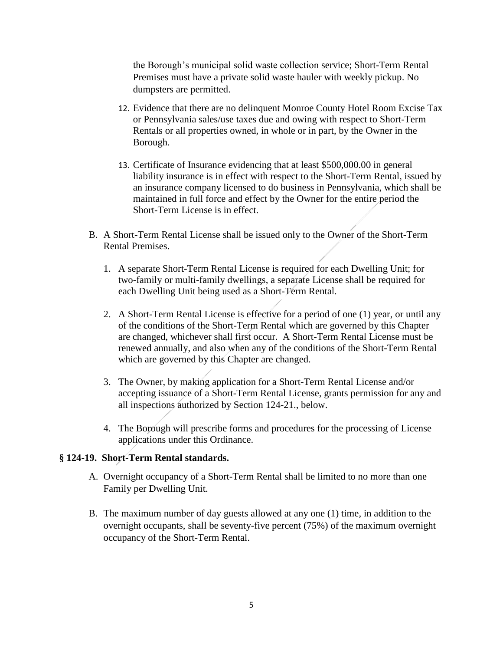the Borough's municipal solid waste collection service; Short-Term Rental Premises must have a private solid waste hauler with weekly pickup. No dumpsters are permitted.

- 12. Evidence that there are no delinquent Monroe County Hotel Room Excise Tax or Pennsylvania sales/use taxes due and owing with respect to Short-Term Rentals or all properties owned, in whole or in part, by the Owner in the Borough.
- 13. Certificate of Insurance evidencing that at least \$500,000.00 in general liability insurance is in effect with respect to the Short-Term Rental, issued by an insurance company licensed to do business in Pennsylvania, which shall be maintained in full force and effect by the Owner for the entire period the Short-Term License is in effect.
- B. A Short-Term Rental License shall be issued only to the Owner of the Short-Term Rental Premises.
	- 1. A separate Short-Term Rental License is required for each Dwelling Unit; for two-family or multi-family dwellings, a separate License shall be required for each Dwelling Unit being used as a Short-Term Rental.
	- 2. A Short-Term Rental License is effective for a period of one (1) year, or until any of the conditions of the Short-Term Rental which are governed by this Chapter are changed, whichever shall first occur. A Short-Term Rental License must be renewed annually, and also when any of the conditions of the Short-Term Rental which are governed by this Chapter are changed.
	- 3. The Owner, by making application for a Short-Term Rental License and/or accepting issuance of a Short-Term Rental License, grants permission for any and all inspections authorized by Section 124-21., below.
	- 4. The Borough will prescribe forms and procedures for the processing of License applications under this Ordinance.

# **§ 124-19. Short-Term Rental standards.**

- A. Overnight occupancy of a Short-Term Rental shall be limited to no more than one Family per Dwelling Unit.
- B. The maximum number of day guests allowed at any one (1) time, in addition to the overnight occupants, shall be seventy-five percent (75%) of the maximum overnight occupancy of the Short-Term Rental.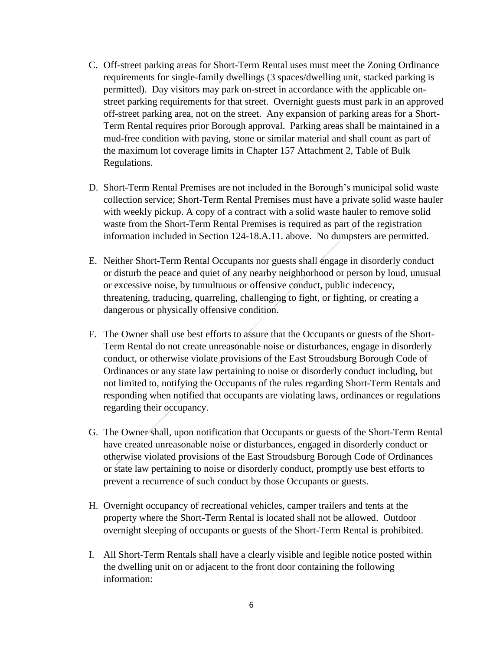- C. Off-street parking areas for Short-Term Rental uses must meet the Zoning Ordinance requirements for single-family dwellings (3 spaces/dwelling unit, stacked parking is permitted). Day visitors may park on-street in accordance with the applicable onstreet parking requirements for that street. Overnight guests must park in an approved off-street parking area, not on the street. Any expansion of parking areas for a Short-Term Rental requires prior Borough approval. Parking areas shall be maintained in a mud-free condition with paving, stone or similar material and shall count as part of the maximum lot coverage limits in Chapter 157 Attachment 2, Table of Bulk Regulations.
- D. Short-Term Rental Premises are not included in the Borough's municipal solid waste collection service; Short-Term Rental Premises must have a private solid waste hauler with weekly pickup. A copy of a contract with a solid waste hauler to remove solid waste from the Short-Term Rental Premises is required as part of the registration information included in Section 124-18.A.11. above. No dumpsters are permitted.
- E. Neither Short-Term Rental Occupants nor guests shall engage in disorderly conduct or disturb the peace and quiet of any nearby neighborhood or person by loud, unusual or excessive noise, by tumultuous or offensive conduct, public indecency, threatening, traducing, quarreling, challenging to fight, or fighting, or creating a dangerous or physically offensive condition.
- F. The Owner shall use best efforts to assure that the Occupants or guests of the Short-Term Rental do not create unreasonable noise or disturbances, engage in disorderly conduct, or otherwise violate provisions of the East Stroudsburg Borough Code of Ordinances or any state law pertaining to noise or disorderly conduct including, but not limited to, notifying the Occupants of the rules regarding Short-Term Rentals and responding when notified that occupants are violating laws, ordinances or regulations regarding their occupancy.
- G. The Owner shall, upon notification that Occupants or guests of the Short-Term Rental have created unreasonable noise or disturbances, engaged in disorderly conduct or otherwise violated provisions of the East Stroudsburg Borough Code of Ordinances or state law pertaining to noise or disorderly conduct, promptly use best efforts to prevent a recurrence of such conduct by those Occupants or guests.
- H. Overnight occupancy of recreational vehicles, camper trailers and tents at the property where the Short-Term Rental is located shall not be allowed. Outdoor overnight sleeping of occupants or guests of the Short-Term Rental is prohibited.
- I. All Short-Term Rentals shall have a clearly visible and legible notice posted within the dwelling unit on or adjacent to the front door containing the following information: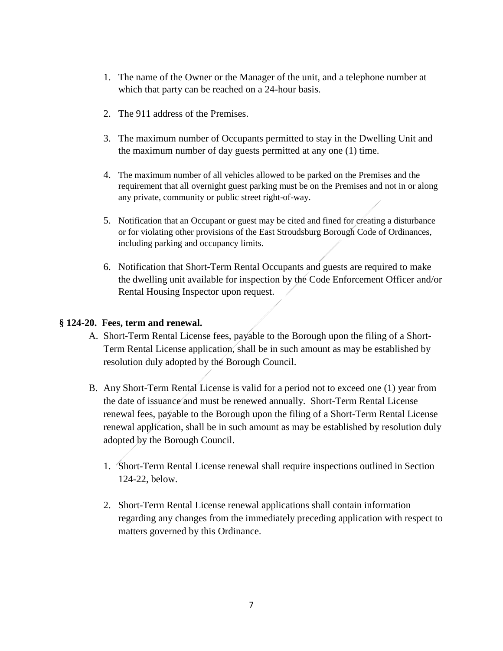- 1. The name of the Owner or the Manager of the unit, and a telephone number at which that party can be reached on a 24-hour basis.
- 2. The 911 address of the Premises.
- 3. The maximum number of Occupants permitted to stay in the Dwelling Unit and the maximum number of day guests permitted at any one (1) time.
- 4. The maximum number of all vehicles allowed to be parked on the Premises and the requirement that all overnight guest parking must be on the Premises and not in or along any private, community or public street right-of-way.
- 5. Notification that an Occupant or guest may be cited and fined for creating a disturbance or for violating other provisions of the East Stroudsburg Borough Code of Ordinances, including parking and occupancy limits.
- 6. Notification that Short-Term Rental Occupants and guests are required to make the dwelling unit available for inspection by the Code Enforcement Officer and/or Rental Housing Inspector upon request.

# **§ 124-20. Fees, term and renewal.**

- A. Short-Term Rental License fees, payable to the Borough upon the filing of a Short-Term Rental License application, shall be in such amount as may be established by resolution duly adopted by the Borough Council.
- B. Any Short-Term Rental License is valid for a period not to exceed one (1) year from the date of issuance and must be renewed annually. Short-Term Rental License renewal fees, payable to the Borough upon the filing of a Short-Term Rental License renewal application, shall be in such amount as may be established by resolution duly adopted by the Borough Council.
	- 1. Short-Term Rental License renewal shall require inspections outlined in Section 124-22, below.
	- 2. Short-Term Rental License renewal applications shall contain information regarding any changes from the immediately preceding application with respect to matters governed by this Ordinance.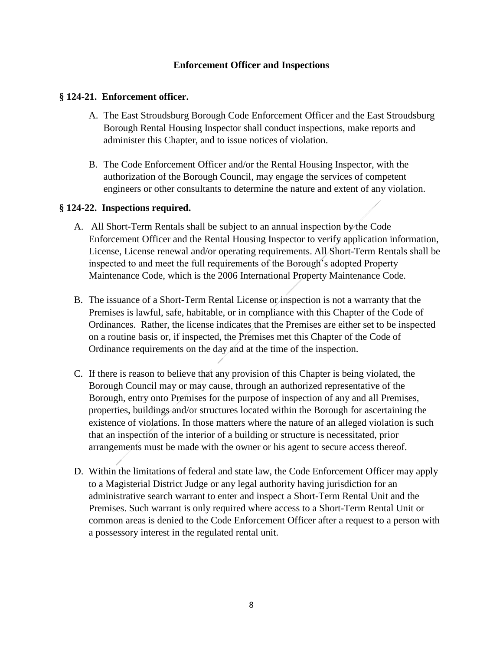# **Enforcement Officer and Inspections**

# **§ 124-21. Enforcement officer.**

- A. The East Stroudsburg Borough Code Enforcement Officer and the East Stroudsburg Borough Rental Housing Inspector shall conduct inspections, make reports and administer this Chapter, and to issue notices of violation.
- B. The Code Enforcement Officer and/or the Rental Housing Inspector, with the authorization of the Borough Council, may engage the services of competent engineers or other consultants to determine the nature and extent of any violation.

# **§ 124-22. Inspections required.**

- A. All Short-Term Rentals shall be subject to an annual inspection by the Code Enforcement Officer and the Rental Housing Inspector to verify application information, License, License renewal and/or operating requirements. All Short-Term Rentals shall be inspected to and meet the full requirements of the Borough's adopted Property Maintenance Code, which is the 2006 International Property Maintenance Code.
- B. The issuance of a Short-Term Rental License or inspection is not a warranty that the Premises is lawful, safe, habitable, or in compliance with this Chapter of the Code of Ordinances. Rather, the license indicates that the Premises are either set to be inspected on a routine basis or, if inspected, the Premises met this Chapter of the Code of Ordinance requirements on the day and at the time of the inspection.
- C. If there is reason to believe that any provision of this Chapter is being violated, the Borough Council may or may cause, through an authorized representative of the Borough, entry onto Premises for the purpose of inspection of any and all Premises, properties, buildings and/or structures located within the Borough for ascertaining the existence of violations. In those matters where the nature of an alleged violation is such that an inspection of the interior of a building or structure is necessitated, prior arrangements must be made with the owner or his agent to secure access thereof.
- D. Within the limitations of federal and state law, the Code Enforcement Officer may apply to a Magisterial District Judge or any legal authority having jurisdiction for an administrative search warrant to enter and inspect a Short-Term Rental Unit and the Premises. Such warrant is only required where access to a Short-Term Rental Unit or common areas is denied to the Code Enforcement Officer after a request to a person with a possessory interest in the regulated rental unit.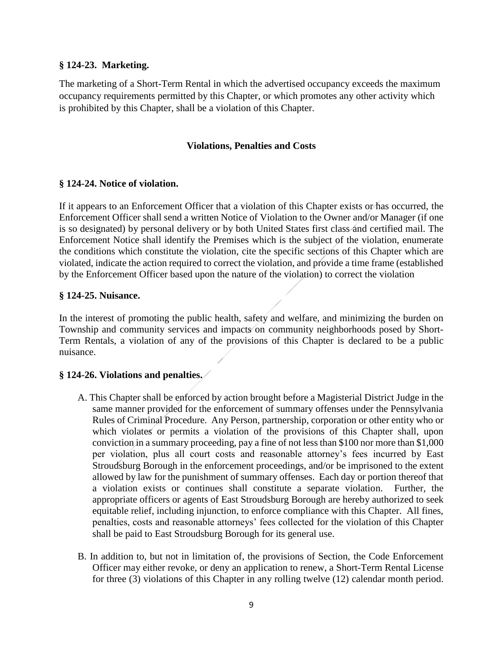# **§ 124-23. Marketing.**

The marketing of a Short-Term Rental in which the advertised occupancy exceeds the maximum occupancy requirements permitted by this Chapter, or which promotes any other activity which is prohibited by this Chapter, shall be a violation of this Chapter.

### **Violations, Penalties and Costs**

### **§ 124-24. Notice of violation.**

If it appears to an Enforcement Officer that a violation of this Chapter exists or has occurred, the Enforcement Officer shall send a written Notice of Violation to the Owner and/or Manager (if one is so designated) by personal delivery or by both United States first class and certified mail. The Enforcement Notice shall identify the Premises which is the subject of the violation, enumerate the conditions which constitute the violation, cite the specific sections of this Chapter which are violated, indicate the action required to correct the violation, and provide a time frame (established by the Enforcement Officer based upon the nature of the violation) to correct the violation

### **§ 124-25. Nuisance.**

In the interest of promoting the public health, safety and welfare, and minimizing the burden on Township and community services and impacts on community neighborhoods posed by Short-Term Rentals, a violation of any of the provisions of this Chapter is declared to be a public nuisance.

# **§ 124-26. Violations and penalties.**

- A. This Chapter shall be enforced by action brought before a Magisterial District Judge in the same manner provided for the enforcement of summary offenses under the Pennsylvania Rules of Criminal Procedure. Any Person, partnership, corporation or other entity who or which violates or permits a violation of the provisions of this Chapter shall, upon conviction in a summary proceeding, pay a fine of not less than \$100 nor more than \$1,000 per violation, plus all court costs and reasonable attorney's fees incurred by East Stroudsburg Borough in the enforcement proceedings, and/or be imprisoned to the extent allowed by law for the punishment of summary offenses. Each day or portion thereof that a violation exists or continues shall constitute a separate violation. Further, the appropriate officers or agents of East Stroudsburg Borough are hereby authorized to seek equitable relief, including injunction, to enforce compliance with this Chapter. All fines, penalties, costs and reasonable attorneys' fees collected for the violation of this Chapter shall be paid to East Stroudsburg Borough for its general use.
- B. In addition to, but not in limitation of, the provisions of Section, the Code Enforcement Officer may either revoke, or deny an application to renew, a Short-Term Rental License for three (3) violations of this Chapter in any rolling twelve (12) calendar month period.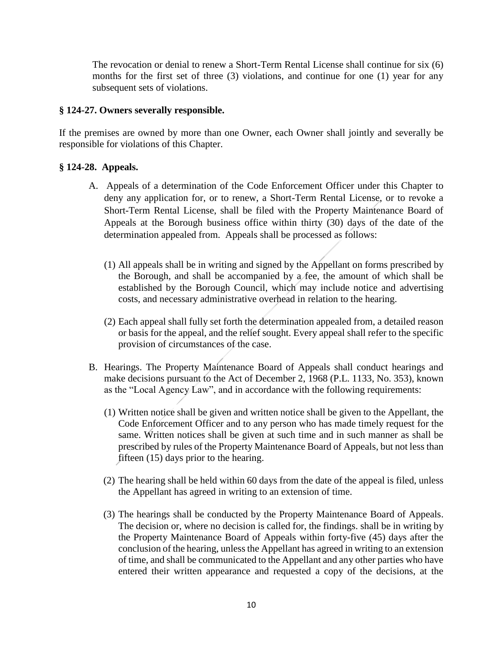The revocation or denial to renew a Short-Term Rental License shall continue for six (6) months for the first set of three (3) violations, and continue for one (1) year for any subsequent sets of violations.

# **§ 124-27. Owners severally responsible.**

If the premises are owned by more than one Owner, each Owner shall jointly and severally be responsible for violations of this Chapter.

# **§ 124-28. Appeals.**

- A. Appeals of a determination of the Code Enforcement Officer under this Chapter to deny any application for, or to renew, a Short-Term Rental License, or to revoke a Short-Term Rental License, shall be filed with the Property Maintenance Board of Appeals at the Borough business office within thirty (30) days of the date of the determination appealed from. Appeals shall be processed as follows:
	- (1) All appeals shall be in writing and signed by the Appellant on forms prescribed by the Borough, and shall be accompanied by a fee, the amount of which shall be established by the Borough Council, which may include notice and advertising costs, and necessary administrative overhead in relation to the hearing.
	- (2) Each appeal shall fully set forth the determination appealed from, a detailed reason or basis for the appeal, and the relief sought. Every appeal shall refer to the specific provision of circumstances of the case.
- B. Hearings. The Property Maintenance Board of Appeals shall conduct hearings and make decisions pursuant to the Act of December 2, 1968 (P.L. 1133, No. 353), known as the "Local Agency Law", and in accordance with the following requirements:
	- (1) Written notice shall be given and written notice shall be given to the Appellant, the Code Enforcement Officer and to any person who has made timely request for the same. Written notices shall be given at such time and in such manner as shall be prescribed by rules of the Property Maintenance Board of Appeals, but not less than fifteen (15) days prior to the hearing.
	- (2) The hearing shall be held within 60 days from the date of the appeal is filed, unless the Appellant has agreed in writing to an extension of time.
	- (3) The hearings shall be conducted by the Property Maintenance Board of Appeals. The decision or, where no decision is called for, the findings. shall be in writing by the Property Maintenance Board of Appeals within forty-five (45) days after the conclusion of the hearing, unless the Appellant has agreed in writing to an extension of time, and shall be communicated to the Appellant and any other parties who have entered their written appearance and requested a copy of the decisions, at the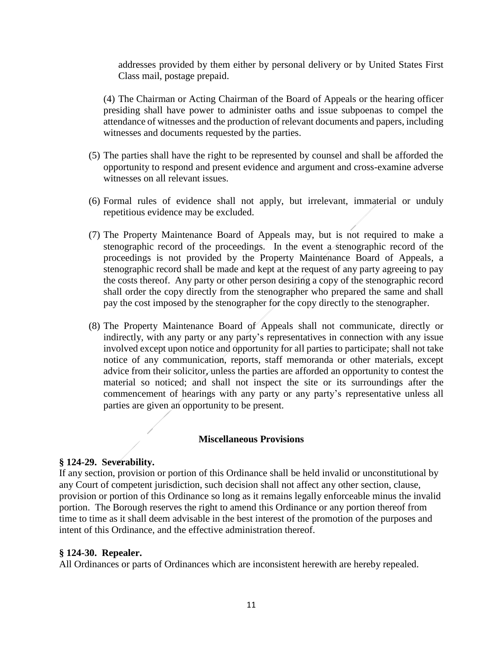addresses provided by them either by personal delivery or by United States First Class mail, postage prepaid.

(4) The Chairman or Acting Chairman of the Board of Appeals or the hearing officer presiding shall have power to administer oaths and issue subpoenas to compel the attendance of witnesses and the production of relevant documents and papers, including witnesses and documents requested by the parties.

- (5) The parties shall have the right to be represented by counsel and shall be afforded the opportunity to respond and present evidence and argument and cross-examine adverse witnesses on all relevant issues.
- (6) Formal rules of evidence shall not apply, but irrelevant, immaterial or unduly repetitious evidence may be excluded.
- (7) The Property Maintenance Board of Appeals may, but is not required to make a stenographic record of the proceedings. In the event a stenographic record of the proceedings is not provided by the Property Maintenance Board of Appeals, a stenographic record shall be made and kept at the request of any party agreeing to pay the costs thereof. Any party or other person desiring a copy of the stenographic record shall order the copy directly from the stenographer who prepared the same and shall pay the cost imposed by the stenographer for the copy directly to the stenographer.
- (8) The Property Maintenance Board of Appeals shall not communicate, directly or indirectly, with any party or any party's representatives in connection with any issue involved except upon notice and opportunity for all parties to participate; shall not take notice of any communication, reports, staff memoranda or other materials, except advice from their solicitor, unless the parties are afforded an opportunity to contest the material so noticed; and shall not inspect the site or its surroundings after the commencement of hearings with any party or any party's representative unless all parties are given an opportunity to be present.

# **Miscellaneous Provisions**

# **§ 124-29. Severability.**

If any section, provision or portion of this Ordinance shall be held invalid or unconstitutional by any Court of competent jurisdiction, such decision shall not affect any other section, clause, provision or portion of this Ordinance so long as it remains legally enforceable minus the invalid portion. The Borough reserves the right to amend this Ordinance or any portion thereof from time to time as it shall deem advisable in the best interest of the promotion of the purposes and intent of this Ordinance, and the effective administration thereof.

# **§ 124-30. Repealer.**

All Ordinances or parts of Ordinances which are inconsistent herewith are hereby repealed.